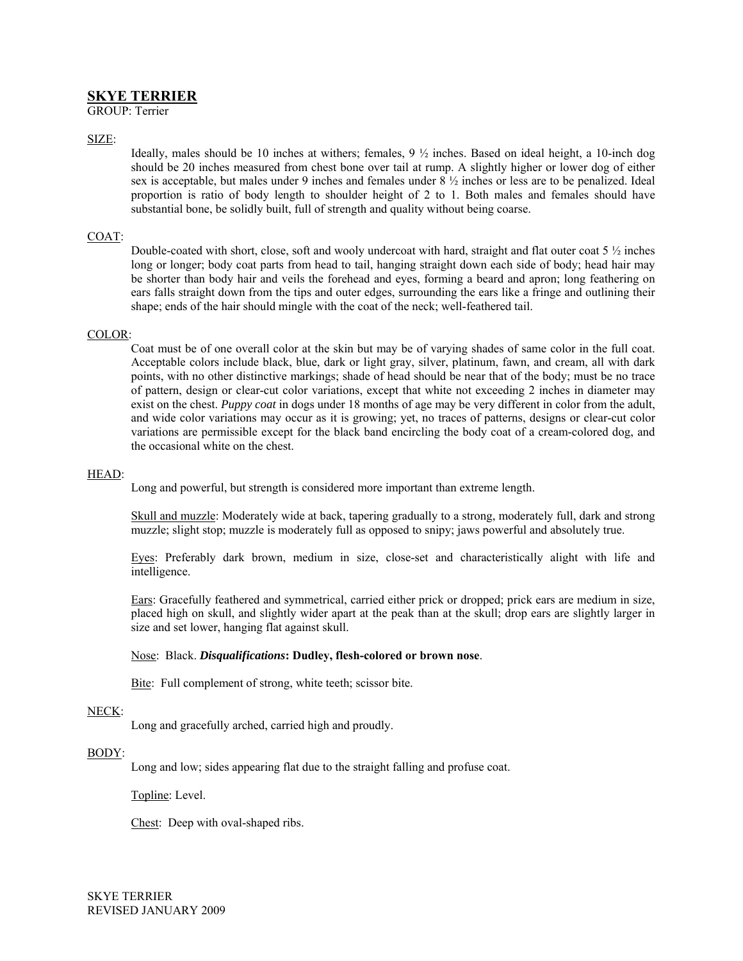# **SKYE TERRIER**

GROUP: Terrier

# SIZE:

Ideally, males should be 10 inches at withers; females, 9 ½ inches. Based on ideal height, a 10-inch dog should be 20 inches measured from chest bone over tail at rump. A slightly higher or lower dog of either sex is acceptable, but males under 9 inches and females under  $8\frac{1}{2}$  inches or less are to be penalized. Ideal proportion is ratio of body length to shoulder height of 2 to 1. Both males and females should have substantial bone, be solidly built, full of strength and quality without being coarse.

# COAT:

Double-coated with short, close, soft and wooly undercoat with hard, straight and flat outer coat 5 ½ inches long or longer; body coat parts from head to tail, hanging straight down each side of body; head hair may be shorter than body hair and veils the forehead and eyes, forming a beard and apron; long feathering on ears falls straight down from the tips and outer edges, surrounding the ears like a fringe and outlining their shape; ends of the hair should mingle with the coat of the neck; well-feathered tail.

#### COLOR:

Coat must be of one overall color at the skin but may be of varying shades of same color in the full coat. Acceptable colors include black, blue, dark or light gray, silver, platinum, fawn, and cream, all with dark points, with no other distinctive markings; shade of head should be near that of the body; must be no trace of pattern, design or clear-cut color variations, except that white not exceeding 2 inches in diameter may exist on the chest. *Puppy coat* in dogs under 18 months of age may be very different in color from the adult, and wide color variations may occur as it is growing; yet, no traces of patterns, designs or clear-cut color variations are permissible except for the black band encircling the body coat of a cream-colored dog, and the occasional white on the chest.

## HEAD:

Long and powerful, but strength is considered more important than extreme length.

Skull and muzzle: Moderately wide at back, tapering gradually to a strong, moderately full, dark and strong muzzle; slight stop; muzzle is moderately full as opposed to snipy; jaws powerful and absolutely true.

Eyes: Preferably dark brown, medium in size, close-set and characteristically alight with life and intelligence.

Ears: Gracefully feathered and symmetrical, carried either prick or dropped; prick ears are medium in size, placed high on skull, and slightly wider apart at the peak than at the skull; drop ears are slightly larger in size and set lower, hanging flat against skull.

## Nose: Black. *Disqualifications***: Dudley, flesh-colored or brown nose**.

Bite: Full complement of strong, white teeth; scissor bite.

## NECK:

Long and gracefully arched, carried high and proudly.

## BODY:

Long and low; sides appearing flat due to the straight falling and profuse coat.

Topline: Level.

Chest: Deep with oval-shaped ribs.